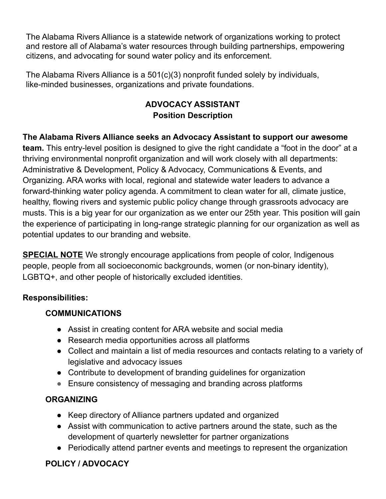The Alabama Rivers Alliance is a statewide network of organizations working to protect and restore all of Alabama's water resources through building partnerships, empowering citizens, and advocating for sound water policy and its enforcement.

The Alabama Rivers Alliance is a 501(c)(3) nonprofit funded solely by individuals, like-minded businesses, organizations and private foundations.

# **ADVOCACY ASSISTANT Position Description**

**The Alabama Rivers Alliance seeks an Advocacy Assistant to support our awesome**

**team.** This entry-level position is designed to give the right candidate a "foot in the door" at a thriving environmental nonprofit organization and will work closely with all departments: Administrative & Development, Policy & Advocacy, Communications & Events, and Organizing. ARA works with local, regional and statewide water leaders to advance a forward-thinking water policy agenda. A commitment to clean water for all, climate justice, healthy, flowing rivers and systemic public policy change through grassroots advocacy are musts. This is a big year for our organization as we enter our 25th year. This position will gain the experience of participating in long-range strategic planning for our organization as well as potential updates to our branding and website.

**SPECIAL NOTE** We strongly encourage applications from people of color, Indigenous people, people from all socioeconomic backgrounds, women (or non-binary identity), LGBTQ+, and other people of historically excluded identities.

### **Responsibilities:**

# **COMMUNICATIONS**

- Assist in creating content for ARA website and social media
- Research media opportunities across all platforms
- Collect and maintain a list of media resources and contacts relating to a variety of legislative and advocacy issues
- Contribute to development of branding guidelines for organization
- Ensure consistency of messaging and branding across platforms

# **ORGANIZING**

- Keep directory of Alliance partners updated and organized
- Assist with communication to active partners around the state, such as the development of quarterly newsletter for partner organizations
- Periodically attend partner events and meetings to represent the organization

# **POLICY / ADVOCACY**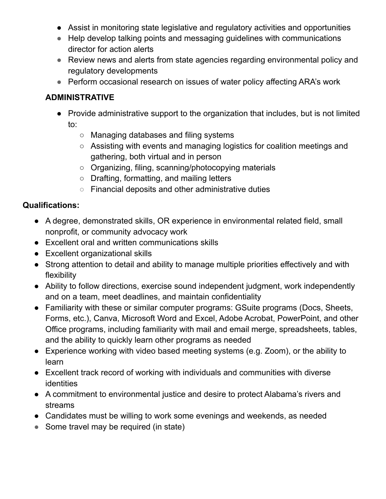- Assist in monitoring state legislative and regulatory activities and opportunities
- Help develop talking points and messaging guidelines with communications director for action alerts
- Review news and alerts from state agencies regarding environmental policy and regulatory developments
- Perform occasional research on issues of water policy affecting ARA's work

### **ADMINISTRATIVE**

- Provide administrative support to the organization that includes, but is not limited to:
	- Managing databases and filing systems
	- Assisting with events and managing logistics for coalition meetings and gathering, both virtual and in person
	- Organizing, filing, scanning/photocopying materials
	- Drafting, formatting, and mailing letters
	- Financial deposits and other administrative duties

### **Qualifications:**

- A degree, demonstrated skills, OR experience in environmental related field, small nonprofit, or community advocacy work
- Excellent oral and written communications skills
- Excellent organizational skills
- Strong attention to detail and ability to manage multiple priorities effectively and with flexibility
- Ability to follow directions, exercise sound independent judgment, work independently and on a team, meet deadlines, and maintain confidentiality
- Familiarity with these or similar computer programs: GSuite programs (Docs, Sheets, Forms, etc.), Canva, Microsoft Word and Excel, Adobe Acrobat, PowerPoint, and other Office programs, including familiarity with mail and email merge, spreadsheets, tables, and the ability to quickly learn other programs as needed
- Experience working with video based meeting systems (e.g. Zoom), or the ability to learn
- Excellent track record of working with individuals and communities with diverse identities
- A commitment to environmental justice and desire to protect Alabama's rivers and streams
- Candidates must be willing to work some evenings and weekends, as needed
- Some travel may be required (in state)